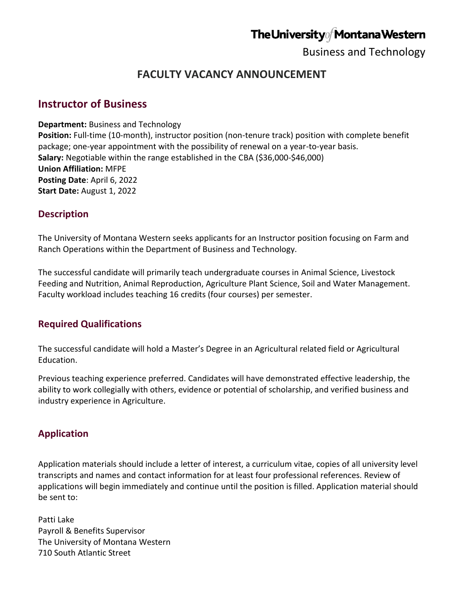# The University of Montana Western

Business and Technology

## **FACULTY VACANCY ANNOUNCEMENT**

### **Instructor of Business**

**Department:** Business and Technology **Position:** Full-time (10-month), instructor position (non-tenure track) position with complete benefit package; one-year appointment with the possibility of renewal on a year-to-year basis. **Salary:** Negotiable within the range established in the CBA (\$36,000-\$46,000) **Union Affiliation:** MFPE **Posting Date**: April 6, 2022 **Start Date:** August 1, 2022

#### **Description**

The University of Montana Western seeks applicants for an Instructor position focusing on Farm and Ranch Operations within the Department of Business and Technology.

The successful candidate will primarily teach undergraduate courses in Animal Science, Livestock Feeding and Nutrition, Animal Reproduction, Agriculture Plant Science, Soil and Water Management. Faculty workload includes teaching 16 credits (four courses) per semester.

#### **Required Qualifications**

The successful candidate will hold a Master's Degree in an Agricultural related field or Agricultural Education.

Previous teaching experience preferred. Candidates will have demonstrated effective leadership, the ability to work collegially with others, evidence or potential of scholarship, and verified business and industry experience in Agriculture.

## **Application**

Application materials should include a letter of interest, a curriculum vitae, copies of all university level transcripts and names and contact information for at least four professional references. Review of applications will begin immediately and continue until the position is filled. Application material should be sent to:

Patti Lake Payroll & Benefits Supervisor The University of Montana Western 710 South Atlantic Street